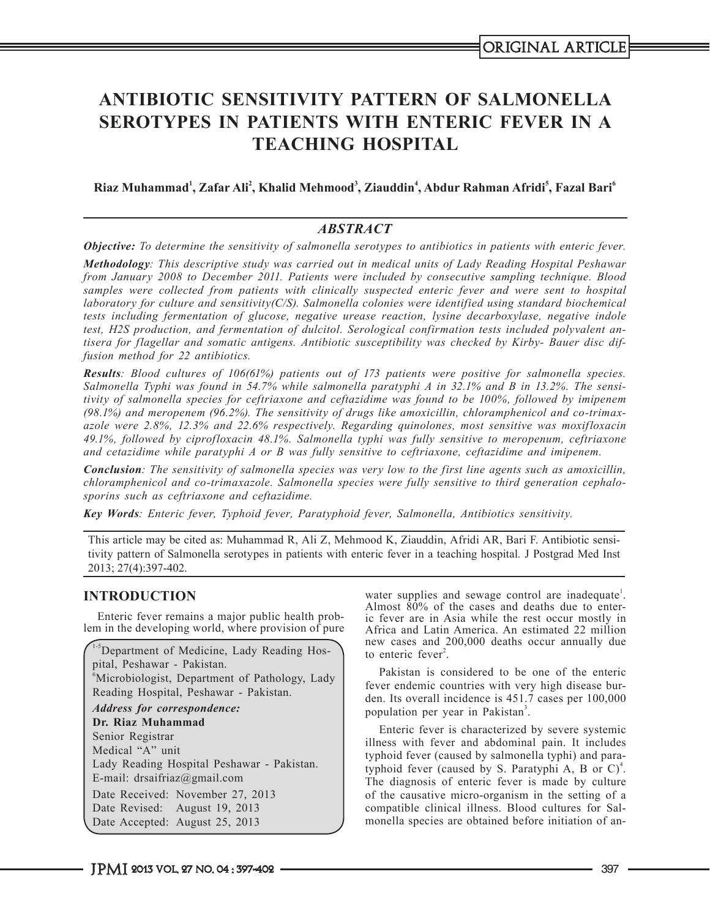# **ANTIBIOTIC SENSITIVITY PATTERN OF SALMONELLA SEROTYPES IN PATIENTS WITH ENTERIC FEVER IN A TEACHING HOSPITAL**

# $\bold{R}$ iaz Muhammad<sup>1</sup>, Zafar Ali<sup>2</sup>, Khalid Mehmood<sup>3</sup>, Ziauddin<sup>4</sup>, Abdur Rahman Afridi<sup>5</sup>, Fazal Bari<sup>6</sup>

# *ABSTRACT*

*Objective: To determine the sensitivity of salmonella serotypes to antibiotics in patients with enteric fever.*

*Methodology: This descriptive study was carried out in medical units of Lady Reading Hospital Peshawar from January 2008 to December 2011. Patients were included by consecutive sampling technique. Blood samples were collected from patients with clinically suspected enteric fever and were sent to hospital laboratory for culture and sensitivity(C/S). Salmonella colonies were identified using standard biochemical tests including fermentation of glucose, negative urease reaction, lysine decarboxylase, negative indole test, H2S production, and fermentation of dulcitol. Serological confirmation tests included polyvalent antisera for flagellar and somatic antigens. Antibiotic susceptibility was checked by Kirby- Bauer disc diffusion method for 22 antibiotics.*

*Results: Blood cultures of 106(61%) patients out of 173 patients were positive for salmonella species. Salmonella Typhi was found in 54.7% while salmonella paratyphi A in 32.1% and B in 13.2%. The sensitivity of salmonella species for ceftriaxone and ceftazidime was found to be 100%, followed by imipenem (98.1%) and meropenem (96.2%). The sensitivity of drugs like amoxicillin, chloramphenicol and co-trimaxazole were 2.8%, 12.3% and 22.6% respectively. Regarding quinolones, most sensitive was moxifloxacin 49.1%, followed by ciprofloxacin 48.1%. Salmonella typhi was fully sensitive to meropenum, ceftriaxone and cetazidime while paratyphi A or B was fully sensitive to ceftriaxone, ceftazidime and imipenem.*

*Conclusion: The sensitivity of salmonella species was very low to the first line agents such as amoxicillin, chloramphenicol and co-trimaxazole. Salmonella species were fully sensitive to third generation cephalosporins such as ceftriaxone and ceftazidime.*

*Key Words: Enteric fever, Typhoid fever, Paratyphoid fever, Salmonella, Antibiotics sensitivity.*

This article may be cited as: Muhammad R, Ali Z, Mehmood K, Ziauddin, Afridi AR, Bari F. Antibiotic sensitivity pattern of Salmonella serotypes in patients with enteric fever in a teaching hospital*.* J Postgrad Med Inst 2013; 27(4):397-402.

# **INTRODUCTION**

Enteric fever remains a major public health problem in the developing world, where provision of pure

1-5Department of Medicine, Lady Reading Hospital, Peshawar - Pakistan. 6 Microbiologist, Department of Pathology, Lady Reading Hospital, Peshawar - Pakistan. *Address for correspondence:* **Dr. Riaz Muhammad** Senior Registrar Medical "A" unit Lady Reading Hospital Peshawar - Pakistan. E-mail: drsaifriaz@gmail.com Date Received: November 27, 2013 Date Revised: August 19, 2013 Date Accepted: August 25, 2013

water supplies and sewage control are inadequate<sup>1</sup>. Almost  $80\%$  of the cases and deaths due to enteric fever are in Asia while the rest occur mostly in Africa and Latin America. An estimated 22 million new cases and 200,000 deaths occur annually due to enteric fever<sup>2</sup>.

Pakistan is considered to be one of the enteric fever endemic countries with very high disease burden. Its overall incidence is 451.7 cases per 100,000 population per year in Pakistan<sup>3</sup>.

Enteric fever is characterized by severe systemic illness with fever and abdominal pain. It includes typhoid fever (caused by salmonella typhi) and paratyphoid fever (caused by S. Paratyphi A, B or  $C$ )<sup>4</sup>. The diagnosis of enteric fever is made by culture of the causative micro-organism in the setting of a compatible clinical illness. Blood cultures for Salmonella species are obtained before initiation of an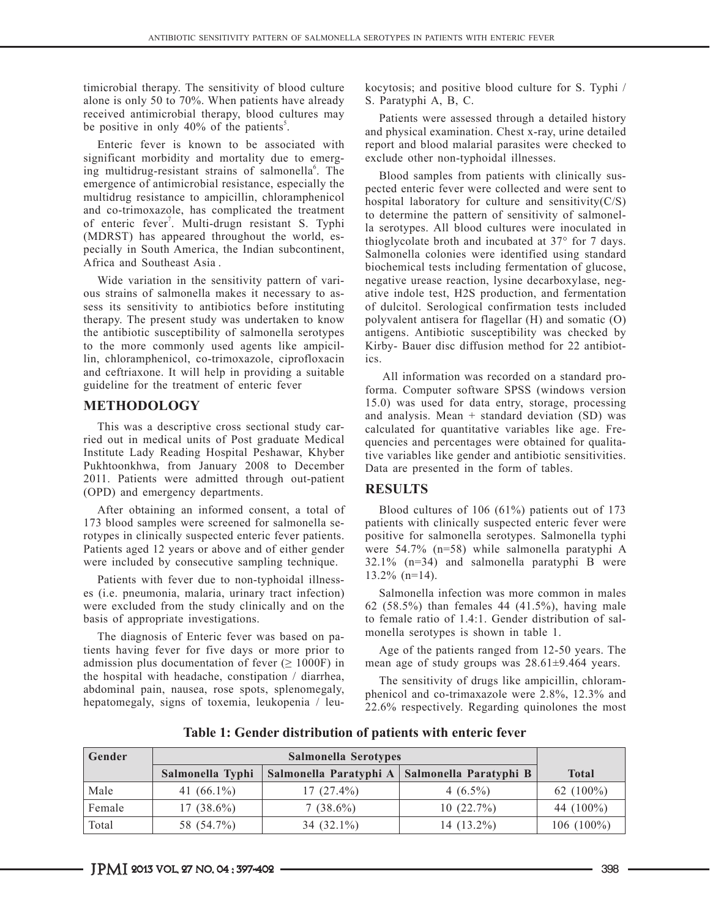timicrobial therapy. The sensitivity of blood culture alone is only 50 to 70%. When patients have already received antimicrobial therapy, blood cultures may be positive in only  $40\%$  of the patients<sup>5</sup>.

Enteric fever is known to be associated with significant morbidity and mortality due to emerging multidrug-resistant strains of salmonella<sup>6</sup>. The emergence of antimicrobial resistance, especially the multidrug resistance to ampicillin, chloramphenicol and co-trimoxazole, has complicated the treatment of enteric fever<sup>7</sup>. Multi-drugn resistant S. Typhi (MDRST) has appeared throughout the world, especially in South America, the Indian subcontinent, Africa and Southeast Asia .

Wide variation in the sensitivity pattern of various strains of salmonella makes it necessary to assess its sensitivity to antibiotics before instituting therapy. The present study was undertaken to know the antibiotic susceptibility of salmonella serotypes to the more commonly used agents like ampicillin, chloramphenicol, co-trimoxazole, ciprofloxacin and ceftriaxone. It will help in providing a suitable guideline for the treatment of enteric fever

### **METHODOLOGY**

This was a descriptive cross sectional study carried out in medical units of Post graduate Medical Institute Lady Reading Hospital Peshawar, Khyber Pukhtoonkhwa, from January 2008 to December 2011. Patients were admitted through out-patient (OPD) and emergency departments.

After obtaining an informed consent, a total of 173 blood samples were screened for salmonella serotypes in clinically suspected enteric fever patients. Patients aged 12 years or above and of either gender were included by consecutive sampling technique.

Patients with fever due to non-typhoidal illnesses (i.e. pneumonia, malaria, urinary tract infection) were excluded from the study clinically and on the basis of appropriate investigations.

The diagnosis of Enteric fever was based on patients having fever for five days or more prior to admission plus documentation of fever  $( \ge 1000F)$  in the hospital with headache, constipation / diarrhea, abdominal pain, nausea, rose spots, splenomegaly, hepatomegaly, signs of toxemia, leukopenia / leukocytosis; and positive blood culture for S. Typhi / S. Paratyphi A, B, C.

Patients were assessed through a detailed history and physical examination. Chest x-ray, urine detailed report and blood malarial parasites were checked to exclude other non-typhoidal illnesses.

Blood samples from patients with clinically suspected enteric fever were collected and were sent to hospital laboratory for culture and sensitivity $(C/S)$ to determine the pattern of sensitivity of salmonella serotypes. All blood cultures were inoculated in thioglycolate broth and incubated at 37° for 7 days. Salmonella colonies were identified using standard biochemical tests including fermentation of glucose, negative urease reaction, lysine decarboxylase, negative indole test, H2S production, and fermentation of dulcitol. Serological confirmation tests included polyvalent antisera for flagellar (H) and somatic (O) antigens. Antibiotic susceptibility was checked by Kirby- Bauer disc diffusion method for 22 antibiotics.

 All information was recorded on a standard proforma. Computer software SPSS (windows version 15.0) was used for data entry, storage, processing and analysis. Mean  $+$  standard deviation (SD) was calculated for quantitative variables like age. Frequencies and percentages were obtained for qualitative variables like gender and antibiotic sensitivities. Data are presented in the form of tables.

### **RESULTS**

Blood cultures of 106 (61%) patients out of 173 patients with clinically suspected enteric fever were positive for salmonella serotypes. Salmonella typhi were 54.7% (n=58) while salmonella paratyphi A 32.1% (n=34) and salmonella paratyphi B were 13.2% (n=14).

Salmonella infection was more common in males 62 (58.5%) than females 44 (41.5%), having male to female ratio of 1.4:1. Gender distribution of salmonella serotypes is shown in table 1.

Age of the patients ranged from 12-50 years. The mean age of study groups was 28.61±9.464 years.

The sensitivity of drugs like ampicillin, chloramphenicol and co-trimaxazole were 2.8%, 12.3% and 22.6% respectively. Regarding quinolones the most

| <b>Gender</b> |                  |               |                                                 |              |
|---------------|------------------|---------------|-------------------------------------------------|--------------|
|               | Salmonella Typhi |               | Salmonella Paratyphi A   Salmonella Paratyphi B | <b>Total</b> |
| Male          | 41 $(66.1\%)$    | $17(27.4\%)$  | $4(6.5\%)$                                      | 62 $(100\%)$ |
| Female        | $17(38.6\%)$     | $7(38.6\%)$   | 10(22.7%)                                       | 44 $(100\%)$ |
| Total         | 58 (54.7%)       | 34 $(32.1\%)$ | $14(13.2\%)$                                    | $106(100\%)$ |

**Table 1: Gender distribution of patients with enteric fever**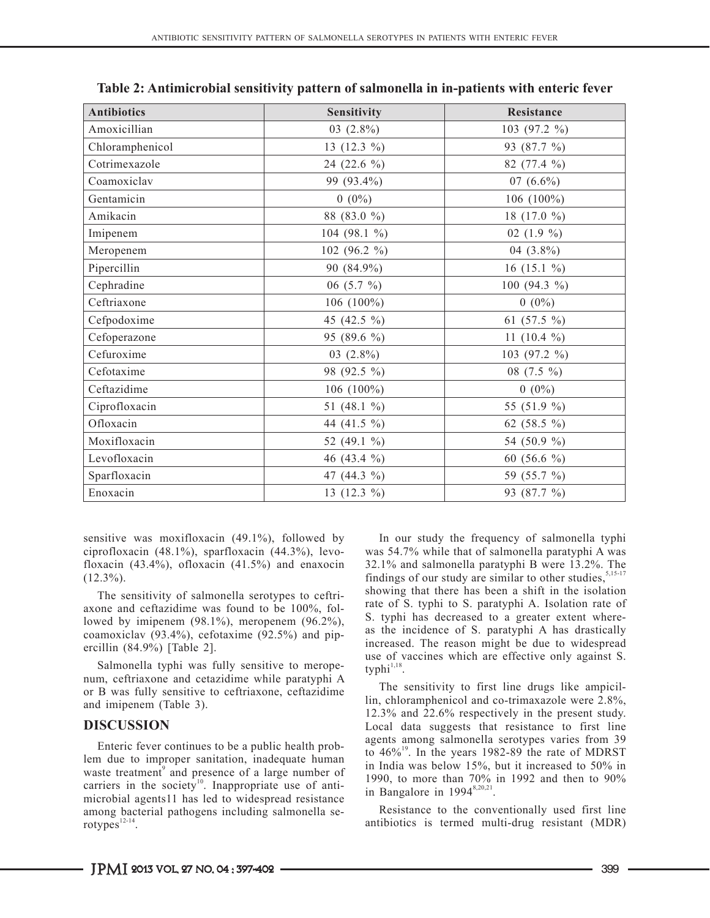| <b>Antibiotics</b> | Sensitivity    | Resistance       |  |
|--------------------|----------------|------------------|--|
| Amoxicillian       | 03 $(2.8\%)$   | 103 (97.2 %)     |  |
| Chloramphenicol    | 13 $(12.3\%)$  | 93 (87.7 %)      |  |
| Cotrimexazole      | 24 (22.6 %)    | 82 (77.4 %)      |  |
| Coamoxiclav        | 99 (93.4%)     | 07 $(6.6\%)$     |  |
| Gentamicin         | $0(0\%)$       | 106 $(100\%)$    |  |
| Amikacin           | 88 (83.0 %)    | 18 (17.0 %)      |  |
| Imipenem           | 104 (98.1 %)   | 02 $(1.9\%$      |  |
| Meropenem          | 102 (96.2 %)   | 04 $(3.8\%)$     |  |
| Pipercillin        | 90 (84.9%)     | 16 (15.1 $\%$ )  |  |
| Cephradine         | 06 (5.7 $\%$ ) | 100 (94.3 $\%$ ) |  |
| Ceftriaxone        | 106 (100%)     | $0(0\%)$         |  |
| Cefpodoxime        | 45 (42.5 %)    | 61 (57.5 $\%$ )  |  |
| Cefoperazone       | 95 (89.6 %)    | 11 $(10.4\%$     |  |
| Cefuroxime         | $03(2.8\%)$    | 103 (97.2 %)     |  |
| Cefotaxime         | 98 (92.5 %)    | 08 $(7.5\%)$     |  |
| Ceftazidime        | 106 $(100\%)$  | $0(0\%)$         |  |
| Ciprofloxacin      | 51 (48.1 %)    | 55 (51.9 %)      |  |
| Ofloxacin          | 44 (41.5 %)    | 62 (58.5 %)      |  |
| Moxifloxacin       | 52 (49.1 %)    | 54 (50.9 %)      |  |
| Levofloxacin       | 46 (43.4 %)    | 60 (56.6 $\%$ )  |  |
| Sparfloxacin       | 47 (44.3 %)    | 59 (55.7 %)      |  |
| Enoxacin           | 13 (12.3 %)    | 93 (87.7 %)      |  |

**Table 2: Antimicrobial sensitivity pattern of salmonella in in-patients with enteric fever**

sensitive was moxifloxacin (49.1%), followed by ciprofloxacin (48.1%), sparfloxacin (44.3%), levofloxacin (43.4%), ofloxacin (41.5%) and enaxocin  $(12.3\%)$ .

The sensitivity of salmonella serotypes to ceftriaxone and ceftazidime was found to be 100%, followed by imipenem (98.1%), meropenem (96.2%), coamoxiclav (93.4%), cefotaxime (92.5%) and pipercillin (84.9%) [Table 2].

Salmonella typhi was fully sensitive to meropenum, ceftriaxone and cetazidime while paratyphi A or B was fully sensitive to ceftriaxone, ceftazidime and imipenem (Table 3).

### **DISCUSSION**

Enteric fever continues to be a public health problem due to improper sanitation, inadequate human waste treatment<sup>9</sup> and presence of a large number of carriers in the society<sup>10</sup>. Inappropriate use of antimicrobial agents11 has led to widespread resistance among bacterial pathogens including salmonella serotypes $12-14$ .

In our study the frequency of salmonella typhi was 54.7% while that of salmonella paratyphi A was 32.1% and salmonella paratyphi B were 13.2%. The findings of our study are similar to other studies,  $5,15-17$ showing that there has been a shift in the isolation rate of S. typhi to S. paratyphi A. Isolation rate of S. typhi has decreased to a greater extent whereas the incidence of S. paratyphi A has drastically increased. The reason might be due to widespread use of vaccines which are effective only against S. typhi $1,18$ .

The sensitivity to first line drugs like ampicillin, chloramphenicol and co-trimaxazole were 2.8%, 12.3% and 22.6% respectively in the present study. Local data suggests that resistance to first line agents among salmonella serotypes varies from 39 to 46%<sup>19</sup>. In the years 1982-89 the rate of MDRST in India was below 15%, but it increased to 50% in 1990, to more than 70% in 1992 and then to 90% in Bangalore in  $1994^{8,20,21}$ .

Resistance to the conventionally used first line antibiotics is termed multi-drug resistant (MDR)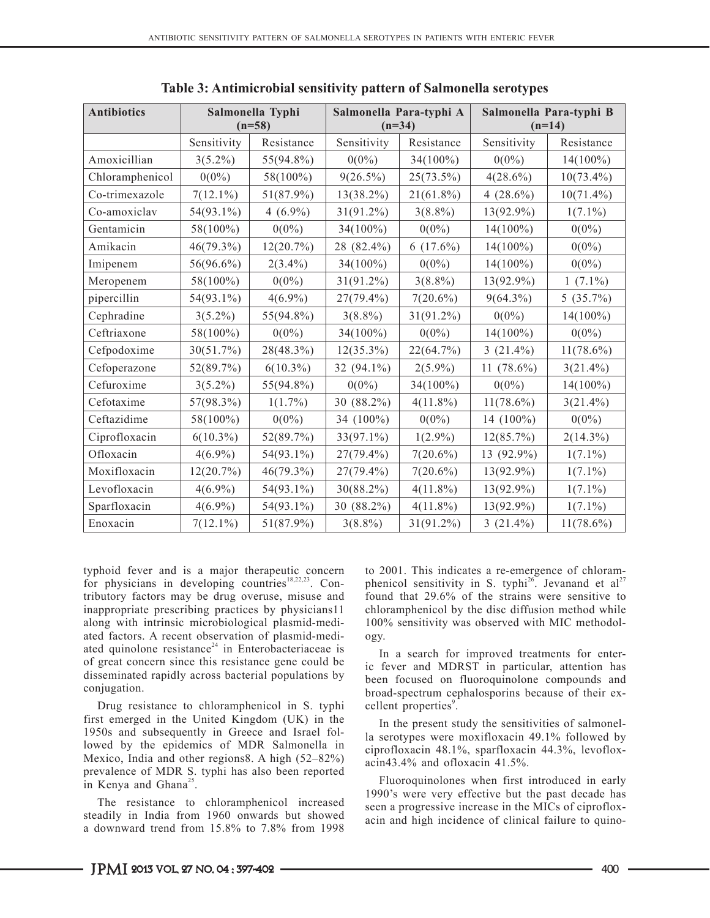| <b>Antibiotics</b> | Salmonella Typhi<br>$(n=58)$ |              | Salmonella Para-typhi A<br>$(n=34)$ |              | Salmonella Para-typhi B<br>$(n=14)$ |              |
|--------------------|------------------------------|--------------|-------------------------------------|--------------|-------------------------------------|--------------|
|                    | Sensitivity                  | Resistance   | Sensitivity                         | Resistance   | Sensitivity                         | Resistance   |
| Amoxicillian       | $3(5.2\%)$                   | 55(94.8%)    | $0(0\%)$                            | 34(100%)     | $0(0\%)$                            | $14(100\%)$  |
| Chloramphenicol    | $0(0\%)$                     | 58(100%)     | $9(26.5\%)$                         | 25(73.5%)    | $4(28.6\%)$                         | $10(73.4\%)$ |
| Co-trimexazole     | $7(12.1\%)$                  | 51(87.9%)    | $13(38.2\%)$                        | $21(61.8\%)$ | 4 $(28.6\%)$                        | $10(71.4\%)$ |
| Co-amoxiclav       | 54(93.1%)                    | 4 $(6.9\%)$  | $31(91.2\%)$                        | $3(8.8\%)$   | 13(92.9%)                           | $1(7.1\%)$   |
| Gentamicin         | 58(100%)                     | $0(0\%)$     | 34(100%)                            | $0(0\%)$     | $14(100\%)$                         | $0(0\%)$     |
| Amikacin           | 46(79.3%)                    | 12(20.7%)    | 28 (82.4%)                          | 6(17.6%)     | $14(100\%)$                         | $0(0\%)$     |
| Imipenem           | 56(96.6%)                    | $2(3.4\%)$   | $34(100\%)$                         | $0(0\%)$     | 14(100%)                            | $0(0\%)$     |
| Meropenem          | 58(100%)                     | $0(0\%)$     | $31(91.2\%)$                        | $3(8.8\%)$   | 13(92.9%)                           | $1(7.1\%)$   |
| pipercillin        | 54(93.1%)                    | $4(6.9\%)$   | 27(79.4%)                           | $7(20.6\%)$  | $9(64.3\%)$                         | 5(35.7%)     |
| Cephradine         | $3(5.2\%)$                   | 55(94.8%)    | $3(8.8\%)$                          | $31(91.2\%)$ | $0(0\%)$                            | $14(100\%)$  |
| Ceftriaxone        | 58(100%)                     | $0(0\%)$     | 34(100%)                            | $0(0\%)$     | $14(100\%)$                         | $0(0\%)$     |
| Cefpodoxime        | 30(51.7%)                    | 28(48.3%)    | $12(35.3\%)$                        | 22(64.7%)    | $3(21.4\%)$                         | $11(78.6\%)$ |
| Cefoperazone       | 52(89.7%)                    | $6(10.3\%)$  | 32 (94.1%)                          | $2(5.9\%)$   | 11 $(78.6\%)$                       | $3(21.4\%)$  |
| Cefuroxime         | $3(5.2\%)$                   | 55(94.8%)    | $0(0\%)$                            | 34(100%)     | $0(0\%)$                            | 14(100%)     |
| Cefotaxime         | 57(98.3%)                    | $1(1.7\%)$   | 30 (88.2%)                          | $4(11.8\%)$  | $11(78.6\%)$                        | $3(21.4\%)$  |
| Ceftazidime        | 58(100%)                     | $0(0\%)$     | 34 (100%)                           | $0(0\%)$     | 14 (100%)                           | $0(0\%)$     |
| Ciprofloxacin      | $6(10.3\%)$                  | 52(89.7%)    | $33(97.1\%)$                        | $1(2.9\%)$   | 12(85.7%)                           | $2(14.3\%)$  |
| Ofloxacin          | $4(6.9\%)$                   | 54(93.1%)    | 27(79.4%)                           | $7(20.6\%)$  | 13 (92.9%)                          | $1(7.1\%)$   |
| Moxifloxacin       | 12(20.7%)                    | $46(79.3\%)$ | $27(79.4\%)$                        | $7(20.6\%)$  | 13(92.9%)                           | $1(7.1\%)$   |
| Levofloxacin       | $4(6.9\%)$                   | 54(93.1%)    | 30(88.2%)                           | $4(11.8\%)$  | 13(92.9%)                           | $1(7.1\%)$   |
| Sparfloxacin       | $4(6.9\%)$                   | 54(93.1%)    | 30 (88.2%)                          | $4(11.8\%)$  | 13(92.9%)                           | $1(7.1\%)$   |
| Enoxacin           | $7(12.1\%)$                  | $51(87.9\%)$ | $3(8.8\%)$                          | $31(91.2\%)$ | $3(21.4\%)$                         | $11(78.6\%)$ |

**Table 3: Antimicrobial sensitivity pattern of Salmonella serotypes**

typhoid fever and is a major therapeutic concern for physicians in developing countries<sup>18,22,23</sup>. Contributory factors may be drug overuse, misuse and inappropriate prescribing practices by physicians11 along with intrinsic microbiological plasmid-mediated factors. A recent observation of plasmid-mediated quinolone resistance<sup>24</sup> in Enterobacteriaceae is of great concern since this resistance gene could be disseminated rapidly across bacterial populations by conjugation.

Drug resistance to chloramphenicol in S. typhi first emerged in the United Kingdom (UK) in the 1950s and subsequently in Greece and Israel followed by the epidemics of MDR Salmonella in Mexico, India and other regions8. A high (52–82%) prevalence of MDR S. typhi has also been reported in Kenya and Ghana<sup>25</sup>.

The resistance to chloramphenicol increased steadily in India from 1960 onwards but showed a downward trend from 15.8% to 7.8% from 1998

to 2001. This indicates a re-emergence of chloramphenicol sensitivity in S. typhi<sup>26</sup>. Jevanand et al<sup>27</sup> found that 29.6% of the strains were sensitive to chloramphenicol by the disc diffusion method while 100% sensitivity was observed with MIC methodology.

In a search for improved treatments for enteric fever and MDRST in particular, attention has been focused on fluoroquinolone compounds and broad-spectrum cephalosporins because of their excellent properties<sup>9</sup>.

In the present study the sensitivities of salmonella serotypes were moxifloxacin 49.1% followed by ciprofloxacin 48.1%, sparfloxacin 44.3%, levofloxacin43.4% and ofloxacin 41.5%.

Fluoroquinolones when first introduced in early 1990's were very effective but the past decade has seen a progressive increase in the MICs of ciprofloxacin and high incidence of clinical failure to quino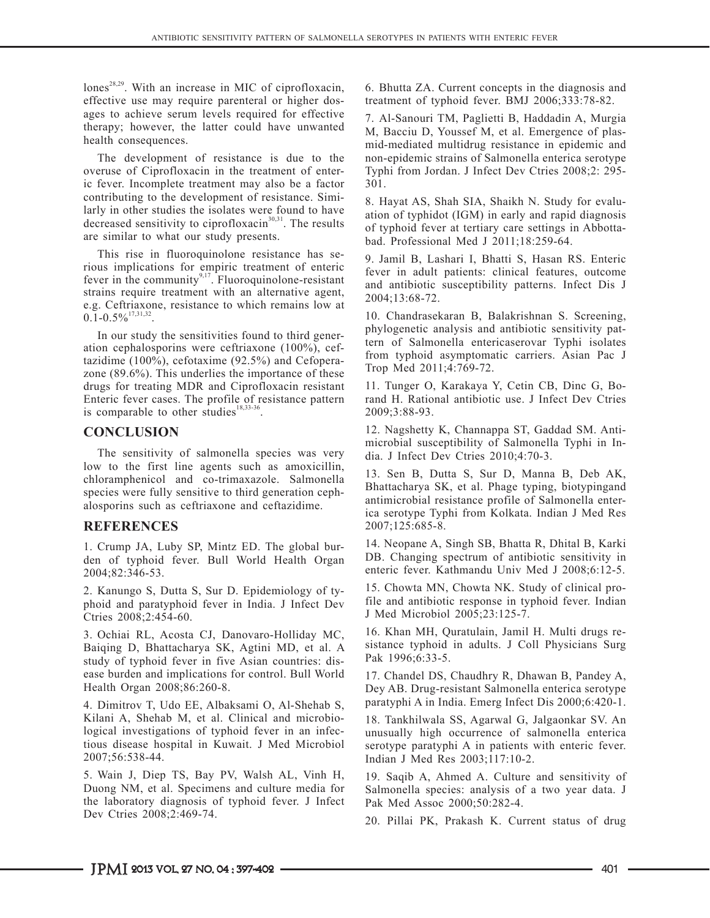lones<sup>28,29</sup>. With an increase in MIC of ciprofloxacin, effective use may require parenteral or higher dosages to achieve serum levels required for effective therapy; however, the latter could have unwanted health consequences.

The development of resistance is due to the overuse of Ciprofloxacin in the treatment of enteric fever. Incomplete treatment may also be a factor contributing to the development of resistance. Similarly in other studies the isolates were found to have decreased sensitivity to ciprofloxacin $30,31$ . The results are similar to what our study presents.

This rise in fluoroquinolone resistance has serious implications for empiric treatment of enteric fever in the community $9,17$ . Fluoroquinolone-resistant strains require treatment with an alternative agent, e.g. Ceftriaxone, resistance to which remains low at  $0.1 - 0.5\%$ <sup>17,31,32</sup>

In our study the sensitivities found to third generation cephalosporins were ceftriaxone (100%), ceftazidime (100%), cefotaxime (92.5%) and Cefoperazone (89.6%). This underlies the importance of these drugs for treating MDR and Ciprofloxacin resistant Enteric fever cases. The profile of resistance pattern is comparable to other studies<sup>18,33-36</sup>.

## **CONCLUSION**

The sensitivity of salmonella species was very low to the first line agents such as amoxicillin, chloramphenicol and co-trimaxazole. Salmonella species were fully sensitive to third generation cephalosporins such as ceftriaxone and ceftazidime.

# **REFERENCES**

1. Crump JA, Luby SP, Mintz ED. The global burden of typhoid fever. Bull World Health Organ 2004;82:346-53.

2. Kanungo S, Dutta S, Sur D. Epidemiology of typhoid and paratyphoid fever in India. J Infect Dev Ctries 2008;2:454-60.

3. Ochiai RL, Acosta CJ, Danovaro-Holliday MC, Baiqing D, Bhattacharya SK, Agtini MD, et al. A study of typhoid fever in five Asian countries: disease burden and implications for control. Bull World Health Organ 2008;86:260-8.

4. Dimitrov T, Udo EE, Albaksami O, Al-Shehab S, Kilani A, Shehab M, et al. Clinical and microbiological investigations of typhoid fever in an infectious disease hospital in Kuwait. J Med Microbiol 2007;56:538-44.

5. Wain J, Diep TS, Bay PV, Walsh AL, Vinh H, Duong NM, et al. Specimens and culture media for the laboratory diagnosis of typhoid fever. J Infect Dev Ctries 2008;2:469-74.

6. Bhutta ZA. Current concepts in the diagnosis and treatment of typhoid fever. BMJ 2006;333:78-82.

7. Al-Sanouri TM, Paglietti B, Haddadin A, Murgia M, Bacciu D, Youssef M, et al. Emergence of plasmid-mediated multidrug resistance in epidemic and non-epidemic strains of Salmonella enterica serotype Typhi from Jordan. J Infect Dev Ctries 2008;2: 295- 301.

8. Hayat AS, Shah SIA, Shaikh N. Study for evaluation of typhidot (IGM) in early and rapid diagnosis of typhoid fever at tertiary care settings in Abbottabad. Professional Med J 2011;18:259-64.

9. Jamil B, Lashari I, Bhatti S, Hasan RS. Enteric fever in adult patients: clinical features, outcome and antibiotic susceptibility patterns. Infect Dis J 2004;13:68-72.

10. Chandrasekaran B, Balakrishnan S. Screening, phylogenetic analysis and antibiotic sensitivity pattern of Salmonella entericaserovar Typhi isolates from typhoid asymptomatic carriers. Asian Pac J Trop Med 2011;4:769-72.

11. Tunger O, Karakaya Y, Cetin CB, Dinc G, Borand H. Rational antibiotic use. J Infect Dev Ctries 2009;3:88-93.

12. Nagshetty K, Channappa ST, Gaddad SM. Antimicrobial susceptibility of Salmonella Typhi in India. J Infect Dev Ctries 2010;4:70-3.

13. Sen B, Dutta S, Sur D, Manna B, Deb AK, Bhattacharya SK, et al. Phage typing, biotypingand antimicrobial resistance profile of Salmonella enterica serotype Typhi from Kolkata. Indian J Med Res 2007;125:685-8.

14. Neopane A, Singh SB, Bhatta R, Dhital B, Karki DB. Changing spectrum of antibiotic sensitivity in enteric fever. Kathmandu Univ Med J 2008;6:12-5.

15. Chowta MN, Chowta NK. Study of clinical profile and antibiotic response in typhoid fever. Indian J Med Microbiol 2005;23:125-7.

16. Khan MH, Quratulain, Jamil H. Multi drugs resistance typhoid in adults. J Coll Physicians Surg Pak 1996;6:33-5.

17. Chandel DS, Chaudhry R, Dhawan B, Pandey A, Dey AB. Drug-resistant Salmonella enterica serotype paratyphi A in India. Emerg Infect Dis 2000;6:420-1.

18. Tankhilwala SS, Agarwal G, Jalgaonkar SV. An unusually high occurrence of salmonella enterica serotype paratyphi A in patients with enteric fever. Indian J Med Res 2003;117:10-2.

19. Saqib A, Ahmed A. Culture and sensitivity of Salmonella species: analysis of a two year data. J Pak Med Assoc 2000;50:282-4.

20. Pillai PK, Prakash K. Current status of drug